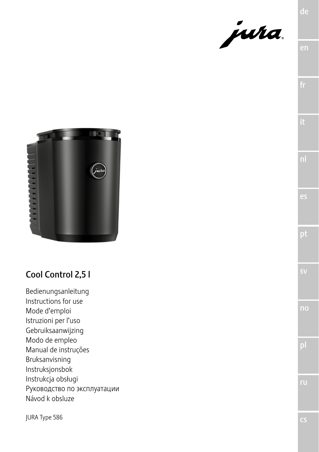



# Cool Control 2,5 l

Bedienungsanleitung Instructions for use Mode d'emploi Istruzioni per l'uso Gebruiksaanwijzing Modo de empleo Manual de instruções Bruksanvisning Instruksjonsbok Instrukcja obsługi Руководство по эксплуатации Návod k obsluze

JURA Type 586

ru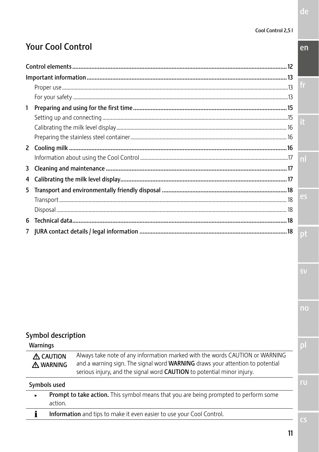# **Your Cool Control**

| 1 |                   |
|---|-------------------|
|   |                   |
|   |                   |
|   |                   |
|   |                   |
|   | $\vert$ n $\vert$ |
|   |                   |
|   |                   |
|   |                   |
|   | es                |
|   |                   |
|   |                   |
|   |                   |

## Symbol description

**Warnings** 

| A CAUTION | Always take note of any information marked with the words CAUTION or WARNING         |
|-----------|--------------------------------------------------------------------------------------|
| A WARNING | and a warning sign. The signal word <b>WARNING</b> draws your attention to potential |
|           | serious injury, and the signal word <b>CAUTION</b> to potential minor injury.        |

Symbols used

| Prompt to take action. This symbol means that you are being prompted to perform some |
|--------------------------------------------------------------------------------------|
| action.                                                                              |
|                                                                                      |

Information and tips to make it even easier to use your Cool Control.  $\mathbf{i}$ 

 $en$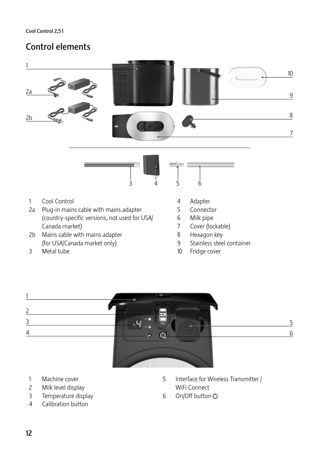# Control elements



- (country-specific versions, not used for USA/ Canada market)
- 2b Mains cable with mains adapter (for USA/Canada market only)
- Metal tube
- **Connector**
- Milk pipe
- Cover (lockable)
- Hexagon key
- Stainless steel container
- Fridge cover



- Machine cover
- Milk level display
- Temperature display
- Calibration button
- Interface for Wireless Transmitter / WiFi Connect
- 6 On/Off button (b)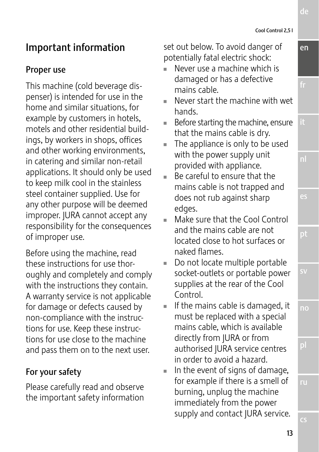# Important information

## Proper use

This machine (cold beverage dispenser) is intended for use in the home and similar situations, for example by customers in hotels, motels and other residential buildings, by workers in shops, offices and other working environments, in catering and similar non-retail applications. It should only be used to keep milk cool in the stainless steel container supplied. Use for any other purpose will be deemed improper. JURA cannot accept any responsibility for the consequences of improper use.

Before using the machine, read these instructions for use thoroughly and completely and comply with the instructions they contain. A warranty service is not applicable for damage or defects caused by non-compliance with the instructions for use. Keep these instructions for use close to the machine and pass them on to the next user.

## For your safety

Please carefully read and observe the important safety information set out below. To avoid danger of potentially fatal electric shock:

- Never use a machine which is damaged or has a defective mains cable.
- Never start the machine with wet hands.
- $\blacksquare$  Before starting the machine, ensure that the mains cable is dry.
- $\blacksquare$  The appliance is only to be used with the power supply unit provided with appliance.
- U Be careful to ensure that the mains cable is not trapped and does not rub against sharp edges.
- $\blacksquare$  Make sure that the Cool Control and the mains cable are not located close to hot surfaces or naked flames.
- $\blacksquare$  Do not locate multiple portable socket-outlets or portable power supplies at the rear of the Cool Control.
- $\blacksquare$  If the mains cable is damaged, it must be replaced with a special mains cable, which is available directly from JURA or from authorised JURA service centres in order to avoid a hazard.
- $\blacksquare$  In the event of signs of damage, for example if there is a smell of burning, unplug the machine immediately from the power supply and contact JURA service.

de

en

es

pt

no

ru

cs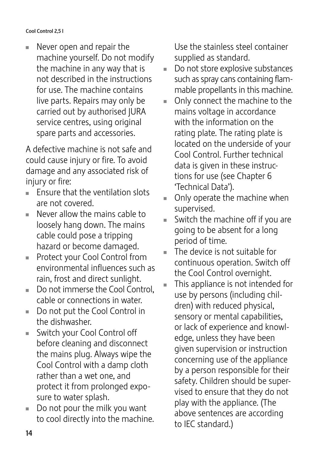$\blacksquare$  Never open and repair the machine yourself. Do not modify the machine in any way that is not described in the instructions for use. The machine contains live parts. Repairs may only be carried out by authorised JURA service centres, using original spare parts and accessories.

A defective machine is not safe and could cause injury or fire. To avoid damage and any associated risk of injury or fire:

- $\blacksquare$  Ensure that the ventilation slots are not covered.
- $\blacksquare$  Never allow the mains cable to loosely hang down. The mains cable could pose a tripping hazard or become damaged.
- **Protect your Cool Control from** environmental influences such as rain, frost and direct sunlight.
- $\blacksquare$  Do not immerse the Cool Control, cable or connections in water.
- Do not put the Cool Control in the dishwasher.
- Switch your Cool Control off before cleaning and disconnect the mains plug. Always wipe the Cool Control with a damp cloth rather than a wet one, and protect it from prolonged exposure to water splash.
- $\blacksquare$  Do not pour the milk you want to cool directly into the machine.

Use the stainless steel container supplied as standard.

- $\blacksquare$  Do not store explosive substances such as spray cans containing flammable propellants in this machine.
- $\blacksquare$  Only connect the machine to the mains voltage in accordance with the information on the rating plate. The rating plate is located on the underside of your Cool Control. Further technical data is given in these instructions for use (see Chapter 6 'Technical Data').
- $\blacksquare$  Only operate the machine when supervised.
- $\blacksquare$  Switch the machine off if you are going to be absent for a long period of time.
- The device is not suitable for continuous operation. Switch off the Cool Control overnight.
- This appliance is not intended for use by persons (including children) with reduced physical, sensory or mental capabilities, or lack of experience and knowledge, unless they have been given supervision or instruction concerning use of the appliance by a person responsible for their safety. Children should be supervised to ensure that they do not play with the appliance. (The above sentences are according to IEC standard.)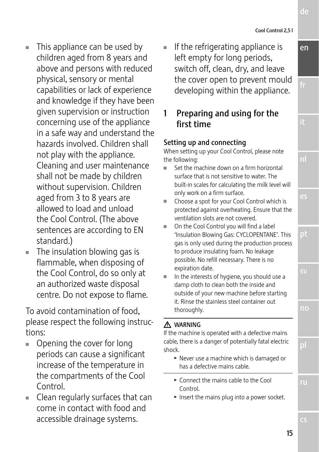15

en

de

nl

es

pt

- $\blacksquare$  This appliance can be used by children aged from 8 years and above and persons with reduced physical, sensory or mental capabilities or lack of experience and knowledge if they have been given supervision or instruction concerning use of the appliance in a safe way and understand the hazards involved. Children shall not play with the appliance. Cleaning and user maintenance shall not be made by children without supervision. Children aged from 3 to 8 years are allowed to load and unload the Cool Control. (The above sentences are according to EN standard.)
- $\blacksquare$  The insulation blowing gas is flammable, when disposing of the Cool Control, do so only at an authorized waste disposal centre. Do not expose to flame.

To avoid contamination of food, please respect the following instructions:

- $\blacksquare$  Opening the cover for long periods can cause a significant increase of the temperature in the compartments of the Cool Control.
- $\blacksquare$  Clean regularly surfaces that can come in contact with food and accessible drainage systems.

If the refrigerating appliance is left empty for long periods, switch off, clean, dry, and leave the cover open to prevent mould developing within the appliance.

1 Preparing and using for the first time

#### Setting up and connecting

When setting up your Cool Control, please note the following:

- Set the machine down on a firm horizontal surface that is not sensitive to water. The built-in scales for calculating the milk level will only work on a firm surface.
- Choose a spot for your Cool Control which is protected against overheating. Ensure that the ventilation slots are not covered.
- On the Cool Control you will find a label 'Insulation Blowing Gas: CYCLOPENTANE'. This gas is only used during the production process to produce insulating foam. No leakage possible. No refill necessary. There is no expiration date.
- In the interests of hygiene, you should use a damp cloth to clean both the inside and outside of your new machine before starting it. Rinse the stainless steel container out thoroughly.

### J WARNING

If the machine is operated with a defective mains cable, there is a danger of potentially fatal electric shock.

- $\blacktriangleright$  Never use a machine which is damaged or has a defective mains cable.
- $\triangleright$  Connect the mains cable to the Cool Control.
- $\blacktriangleright$  Insert the mains plug into a power socket.

no

ru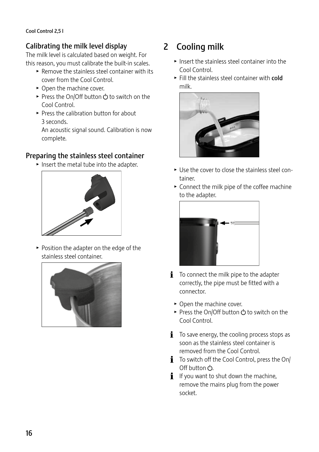## Calibrating the milk level display

The milk level is calculated based on weight. For this reason, you must calibrate the built-in scales.

- $\blacktriangleright$  Remove the stainless steel container with its cover from the Cool Control.
- $\triangleright$  Open the machine cover.
- ► Press the On/Off button  $\circlearrowright$  to switch on the Cool Control.
- $\blacktriangleright$  Press the calibration button for about 3 seconds.

An acoustic signal sound. Calibration is now complete.

## Preparing the stainless steel container

 $\blacktriangleright$  Insert the metal tube into the adapter.



 $\blacktriangleright$  Position the adapter on the edge of the stainless steel container.



# 2 Cooling milk

- $\blacktriangleright$  Insert the stainless steel container into the Cool Control.
- $\blacktriangleright$  Fill the stainless steel container with cold milk.



- Use the cover to close the stainless steel container.
- $\triangleright$  Connect the milk pipe of the coffee machine to the adapter.



- $\mathbf{i}$  To connect the milk pipe to the adapter correctly, the pipe must be fitted with a connector.
	- $\triangleright$  Open the machine cover.
	- Press the On/Off button  $\circlearrowleft$  to switch on the Cool Control.
- $\mathbf{i}$  To save energy, the cooling process stops as soon as the stainless steel container is removed from the Cool Control.
- $\mathbf i$  To switch off the Cool Control, press the On/ Off button  $\circlearrowleft$ .
- $\mathbf{i}$  If you want to shut down the machine, remove the mains plug from the power socket.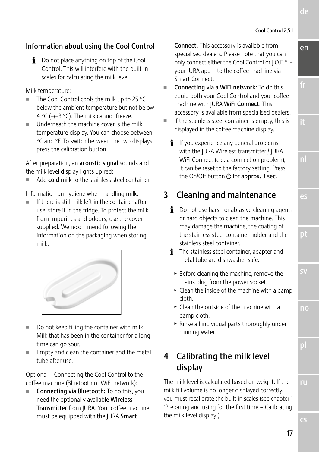ru

de

en

fr

nl

es

pt

sv

no

pl

## Information about using the Cool Control

**i** Do not place anything on top of the Cool Control. This will interfere with the built-in scales for calculating the milk level.

Milk temperature:

- The Cool Control cools the milk up to 25  $^{\circ}$ C below the ambient temperature but not below 4 °C (+/−3 °C). The milk cannot freeze.
- $\blacksquare$  Underneath the machine cover is the milk temperature display. You can choose between °C and °F. To switch between the two displays, press the calibration button.

After preparation, an **acoustic signal** sounds and the milk level display lights up red:

Add cold milk to the stainless steel container.

Information on hygiene when handling milk:

If there is still milk left in the container after use, store it in the fridge. To protect the milk from impurities and odours, use the cover supplied. We recommend following the information on the packaging when storing milk.



- $\blacksquare$  Do not keep filling the container with milk. Milk that has been in the container for a long time can go sour.
- Empty and clean the container and the metal tube after use.

Optional – Connecting the Cool Control to the coffee machine (Bluetooth or WiFi network):

Connecting via Bluetooth: To do this, you need the optionally available Wireless Transmitter from JURA. Your coffee machine must be equipped with the JURA Smart

Connect. This accessory is available from specialised dealers. Please note that you can only connect either the Cool Control or J.O.E.® – your JURA app – to the coffee machine via Smart Connect.

- Connecting via a WiFi network: To do this, equip both your Cool Control and your coffee machine with JURA WiFi Connect. This accessory is available from specialised dealers.
- If the stainless steel container is empty, this is displayed in the coffee machine display.
	- $\mathbf{i}$  If you experience any general problems with the JURA Wireless transmitter / JURA WiFi Connect (e.g. a connection problem), it can be reset to the factory setting. Press the On/Off button  $C$  for approx. 3 sec.

# 3 Cleaning and maintenance

- $\mathbf{i}$  Do not use harsh or abrasive cleaning agents or hard objects to clean the machine. This may damage the machine, the coating of the stainless steel container holder and the stainless steel container.
- **i** The stainless steel container, adapter and metal tube are dishwasher-safe.
	- $\blacktriangleright$  Before cleaning the machine, remove the mains plug from the power socket.
	- $\blacktriangleright$  Clean the inside of the machine with a damp cloth.
	- $\triangleright$  Clean the outside of the machine with a damp cloth.
	- $\blacktriangleright$  Rinse all individual parts thoroughly under running water.

# 4 Calibrating the milk level display

The milk level is calculated based on weight. If the milk fill volume is no longer displayed correctly, you must recalibrate the built-in scales (see chapter 1 'Preparing and using for the first time – Calibrating the milk level display').

17